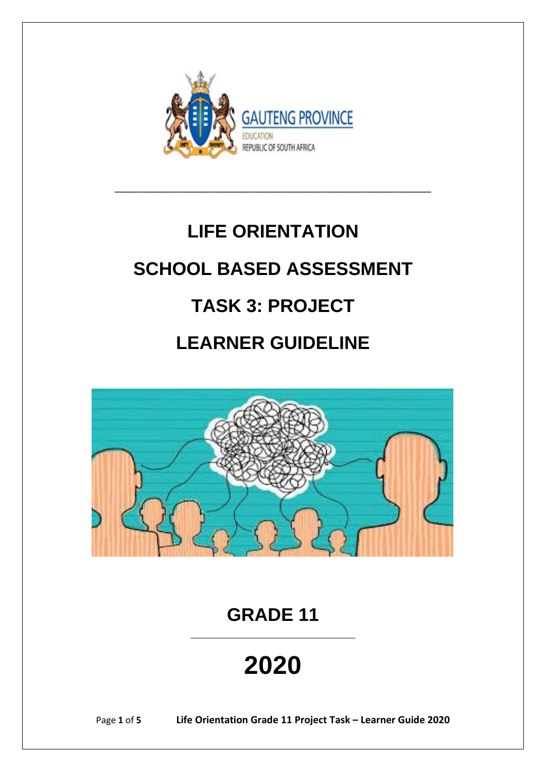

# **LIFE ORIENTATION**

**\_\_\_\_\_\_\_\_\_\_\_\_\_\_\_\_\_\_\_\_\_\_\_\_\_\_\_\_\_\_\_**

## **SCHOOL BASED ASSESSMENT**

# **TASK 3: PROJECT**

## **LEARNER GUIDELINE**



**GRADE 11**

**\_\_\_\_\_\_\_\_\_\_\_\_\_\_\_\_\_\_\_\_\_\_\_**

**2020**

Page **1** of **5 Life Orientation Grade 11 Project Task – Learner Guide 2020**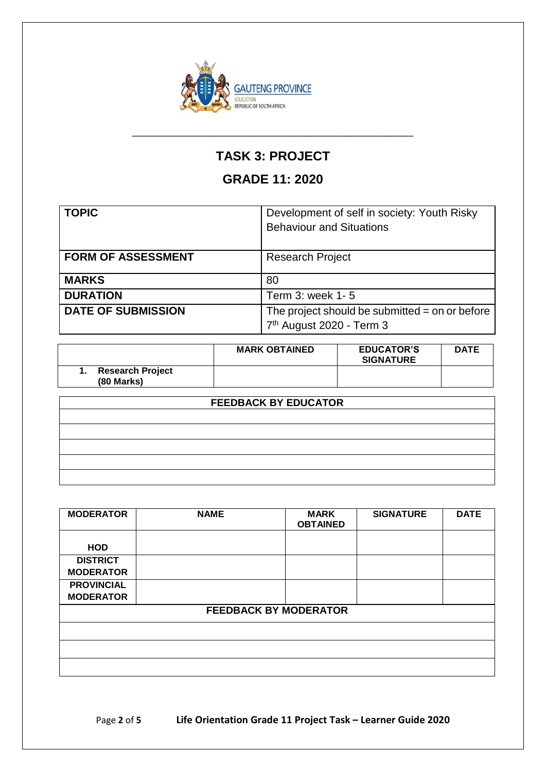

### **TASK 3: PROJECT**

\_\_\_\_\_\_\_\_\_\_\_\_\_\_\_\_\_\_\_\_\_\_\_\_\_\_\_\_\_\_\_\_\_\_\_\_\_\_\_\_\_\_\_\_\_\_\_\_\_\_\_\_\_\_\_\_

### **GRADE 11: 2020**

| <b>TOPIC</b>              | Development of self in society: Youth Risky<br><b>Behaviour and Situations</b>           |
|---------------------------|------------------------------------------------------------------------------------------|
| <b>FORM OF ASSESSMENT</b> | <b>Research Project</b>                                                                  |
| <b>MARKS</b>              | 80                                                                                       |
| <b>DURATION</b>           | Term 3: week 1-5                                                                         |
| <b>DATE OF SUBMISSION</b> | The project should be submitted $=$ on or before<br>7 <sup>th</sup> August 2020 - Term 3 |

|                                              | <b>MARK OBTAINED</b> | <b>EDUCATOR'S</b><br><b>SIGNATURE</b> | <b>DATE</b> |
|----------------------------------------------|----------------------|---------------------------------------|-------------|
| <b>Research Project</b><br><b>(80 Marks)</b> |                      |                                       |             |

| <b>FEEDBACK BY EDUCATOR</b> |  |  |
|-----------------------------|--|--|
|                             |  |  |
|                             |  |  |
|                             |  |  |
|                             |  |  |
|                             |  |  |

| <b>MODERATOR</b>  | <b>NAME</b>                  | <b>MARK</b><br><b>OBTAINED</b> | <b>SIGNATURE</b> | <b>DATE</b> |
|-------------------|------------------------------|--------------------------------|------------------|-------------|
|                   |                              |                                |                  |             |
| <b>HOD</b>        |                              |                                |                  |             |
| <b>DISTRICT</b>   |                              |                                |                  |             |
| <b>MODERATOR</b>  |                              |                                |                  |             |
| <b>PROVINCIAL</b> |                              |                                |                  |             |
| <b>MODERATOR</b>  |                              |                                |                  |             |
|                   | <b>FEEDBACK BY MODERATOR</b> |                                |                  |             |
|                   |                              |                                |                  |             |
|                   |                              |                                |                  |             |
|                   |                              |                                |                  |             |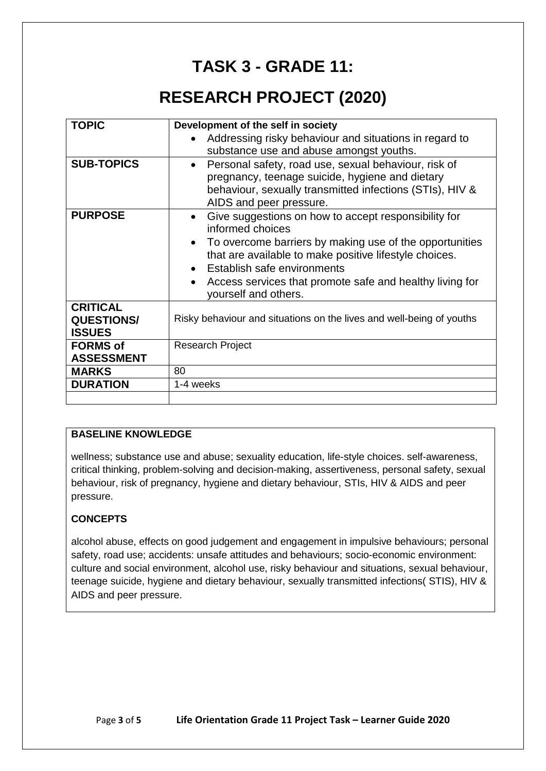### **TASK 3 - GRADE 11:**

### **RESEARCH PROJECT (2020)**

| <b>TOPIC</b>      | Development of the self in society                                               |  |
|-------------------|----------------------------------------------------------------------------------|--|
|                   | Addressing risky behaviour and situations in regard to                           |  |
|                   |                                                                                  |  |
|                   | substance use and abuse amongst youths.                                          |  |
| <b>SUB-TOPICS</b> | Personal safety, road use, sexual behaviour, risk of                             |  |
|                   | pregnancy, teenage suicide, hygiene and dietary                                  |  |
|                   | behaviour, sexually transmitted infections (STIs), HIV &                         |  |
|                   | AIDS and peer pressure.                                                          |  |
| <b>PURPOSE</b>    | Give suggestions on how to accept responsibility for<br>informed choices         |  |
|                   | To overcome barriers by making use of the opportunities                          |  |
|                   | that are available to make positive lifestyle choices.                           |  |
|                   | Establish safe environments                                                      |  |
|                   | Access services that promote safe and healthy living for<br>yourself and others. |  |
| <b>CRITICAL</b>   |                                                                                  |  |
| <b>QUESTIONS/</b> | Risky behaviour and situations on the lives and well-being of youths             |  |
| <b>ISSUES</b>     |                                                                                  |  |
| <b>FORMS of</b>   | <b>Research Project</b>                                                          |  |
| <b>ASSESSMENT</b> |                                                                                  |  |
| <b>MARKS</b>      | 80                                                                               |  |
| <b>DURATION</b>   | 1-4 weeks                                                                        |  |
|                   |                                                                                  |  |

#### **BASELINE KNOWLEDGE**

wellness; substance use and abuse; sexuality education, life-style choices. self-awareness, critical thinking, problem-solving and decision-making, assertiveness, personal safety, sexual behaviour, risk of pregnancy, hygiene and dietary behaviour, STIs, HIV & AIDS and peer pressure.

#### **CONCEPTS**

alcohol abuse, effects on good judgement and engagement in impulsive behaviours; personal safety, road use; accidents: unsafe attitudes and behaviours; socio-economic environment: culture and social environment, alcohol use, risky behaviour and situations, sexual behaviour, teenage suicide, hygiene and dietary behaviour, sexually transmitted infections( STIS), HIV & AIDS and peer pressure.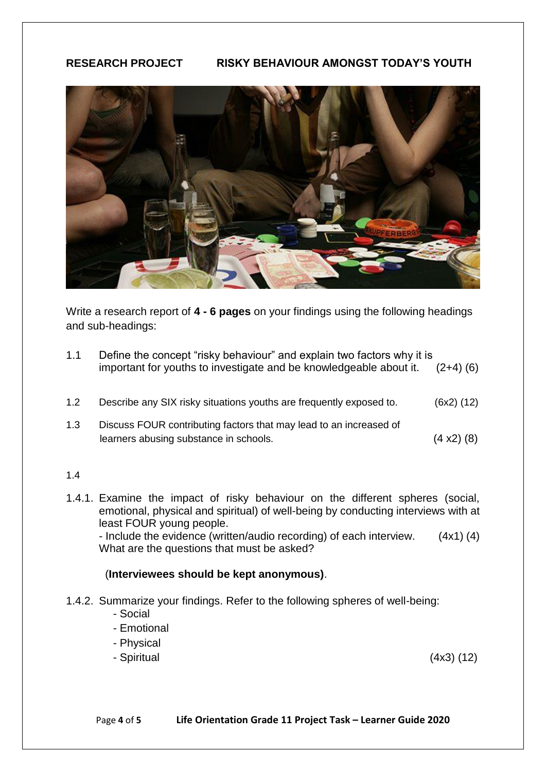#### **RESEARCH PROJECT RISKY BEHAVIOUR AMONGST TODAY'S YOUTH**



Write a research report of **4 - 6 pages** on your findings using the following headings and sub-headings:

- 1.1 Define the concept "risky behaviour" and explain two factors why it is important for youths to investigate and be knowledgeable about it. (2+4) (6)
- 1.2 Describe any SIX risky situations youths are frequently exposed to. (6x2) (12)
- 1.3 Discuss FOUR contributing factors that may lead to an increased of learners abusing substance in schools. (4 x2) (8)

#### 1.4

1.4.1. Examine the impact of risky behaviour on the different spheres (social, emotional, physical and spiritual) of well-being by conducting interviews with at least FOUR young people. - Include the evidence (written/audio recording) of each interview. (4x1) (4)

What are the questions that must be asked?

#### (**Interviewees should be kept anonymous)**.

- 1.4.2. Summarize your findings. Refer to the following spheres of well-being:
	- Social
	- Emotional
	- Physical
	- Spiritual (4x3) (12)